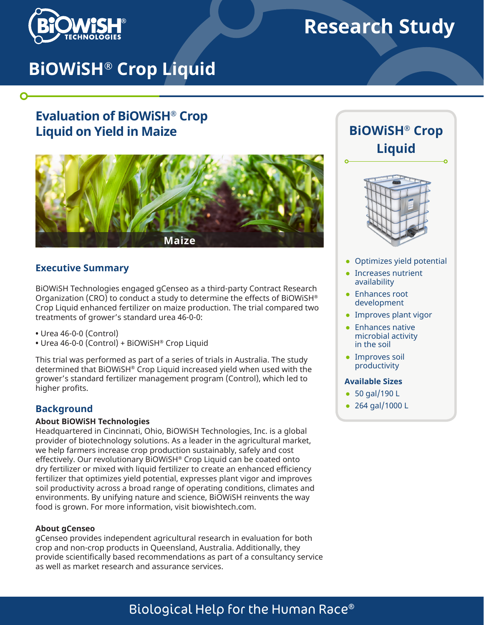

 $\mathbf O$ 

# **Research Study**

# **BiOWiSH® Crop Liquid**

# **Evaluation of BiOWiSH® Crop Liquid on Yield in Maize**



### **Executive Summary**

BiOWiSH Technologies engaged gCenseo as a third-party Contract Research Organization (CRO) to conduct a study to determine the effects of BiOWiSH® Crop Liquid enhanced fertilizer on maize production. The trial compared two treatments of grower's standard urea 46-0-0:

- Urea 46-0-0 (Control)
- Urea 46-0-0 (Control) + BiOWiSH® Crop Liquid

This trial was performed as part of a series of trials in Australia. The study determined that BiOWiSH® Crop Liquid increased yield when used with the grower's standard fertilizer management program (Control), which led to higher profits.

## **Background**

#### **About BiOWiSH Technologies**

Headquartered in Cincinnati, Ohio, BiOWiSH Technologies, Inc. is a global provider of biotechnology solutions. As a leader in the agricultural market, we help farmers increase crop production sustainably, safely and cost effectively. Our revolutionary BiOWiSH® Crop Liquid can be coated onto dry fertilizer or mixed with liquid fertilizer to create an enhanced efficiency fertilizer that optimizes yield potential, expresses plant vigor and improves soil productivity across a broad range of operating conditions, climates and environments. By unifying nature and science, BiOWiSH reinvents the way food is grown. For more information, visit biowishtech.com.

#### **About gCenseo**

gCenseo provides independent agricultural research in evaluation for both crop and non-crop products in Queensland, Australia. Additionally, they provide scientifically based recommendations as part of a consultancy service as well as market research and assurance services.





- Optimizes yield potential
- Increases nutrient availability
- Enhances root development
- Improves plant vigor
- Enhances native microbial activity in the soil
- Improves soil productivity

#### **Available Sizes**

- 50 gal/190 L
- 264 gal/1000 L

# Biological Help for the Human Race®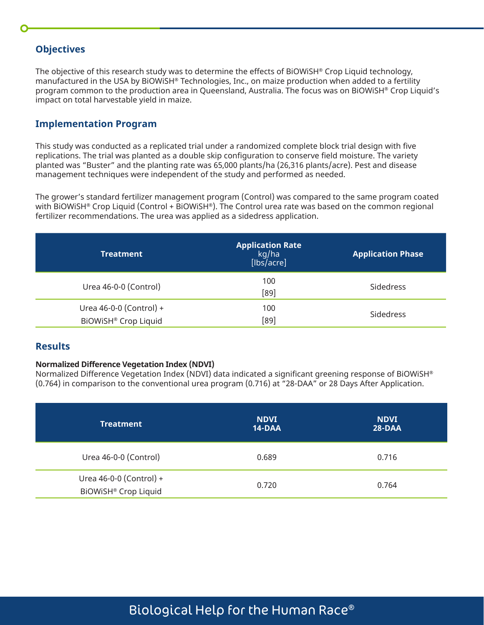## **Objectives**

The objective of this research study was to determine the effects of BiOWiSH® Crop Liquid technology, manufactured in the USA by BiOWiSH® Technologies, Inc., on maize production when added to a fertility program common to the production area in Queensland, Australia. The focus was on BiOWiSH® Crop Liquid's impact on total harvestable yield in maize.

## **Implementation Program**

This study was conducted as a replicated trial under a randomized complete block trial design with five replications. The trial was planted as a double skip configuration to conserve field moisture. The variety planted was "Buster" and the planting rate was 65,000 plants/ha (26,316 plants/acre). Pest and disease management techniques were independent of the study and performed as needed.

The grower's standard fertilizer management program (Control) was compared to the same program coated with BiOWiSH® Crop Liquid (Control + BiOWiSH®). The Control urea rate was based on the common regional fertilizer recommendations. The urea was applied as a sidedress application.

| <b>Treatment</b>                                | <b>Application Rate</b><br>kg/ha<br>[lbs/acre] | <b>Application Phase</b> |  |
|-------------------------------------------------|------------------------------------------------|--------------------------|--|
| Urea 46-0-0 (Control)                           | 100<br>[89]                                    | Sidedress                |  |
| Urea 46-0-0 (Control) +<br>BiOWiSH® Crop Liquid | 100<br>[89]                                    | Sidedress                |  |

# **Results**

#### **Normalized Difference Vegetation Index (NDVI)**

Normalized Difference Vegetation Index (NDVI) data indicated a significant greening response of BiOWiSH® (0.764) in comparison to the conventional urea program (0.716) at "28-DAA" or 28 Days After Application.

| <b>Treatment</b>                                            | <b>NDVI</b><br>14-DAA | <b>NDVI</b><br>28-DAA |  |
|-------------------------------------------------------------|-----------------------|-----------------------|--|
| Urea 46-0-0 (Control)                                       | 0.689                 | 0.716                 |  |
| Urea 46-0-0 (Control) +<br>BIOWISH <sup>®</sup> Crop Liquid | 0.720                 | 0.764                 |  |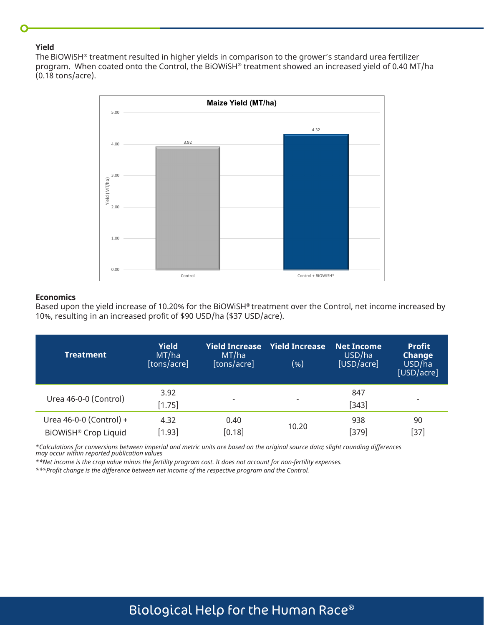#### **Yield**

The BiOWiSH® treatment resulted in higher yields in comparison to the grower's standard urea fertilizer program. When coated onto the Control, the BiOWiSH® treatment showed an increased yield of 0.40 MT/ha (0.18 tons/acre).



#### **Economics**

Based upon the yield increase of 10.20% for the BiOWiSH® treatment over the Control, net income increased by 10%, resulting in an increased profit of \$90 USD/ha (\$37 USD/acre).

| Treatment                                       | <b>Yield</b><br>MT/ha<br>[tons/acre] | <b>Yield Increase</b><br>MT/ha<br>[tons/acre] | <b>Yield Increase</b><br>(%) | <b>Net Income</b><br>USD/ha<br>[USD/acre] | <b>Profit</b><br><b>Change</b><br>USD/ha<br>[USD/acre] |
|-------------------------------------------------|--------------------------------------|-----------------------------------------------|------------------------------|-------------------------------------------|--------------------------------------------------------|
| Urea 46-0-0 (Control)                           | 3.92<br>$[1.75]$                     | $\overline{\phantom{a}}$                      | $\overline{\phantom{0}}$     | 847<br>$[343]$                            | $\overline{\phantom{0}}$                               |
| Urea 46-0-0 (Control) +<br>BiOWiSH® Crop Liquid | 4.32<br>[1.93]                       | 0.40<br>$[0.18]$                              | 10.20                        | 938<br>$[379]$                            | 90<br>[37]                                             |

*\*Calculations for conversions between imperial and metric units are based on the original source data; slight rounding differences may occur within reported publication values* 

*\*\*Net income is the crop value minus the fertility program cost. It does not account for non-fertility expenses.* 

*\*\*\*Profit change is the difference between net income of the respective program and the Control.*